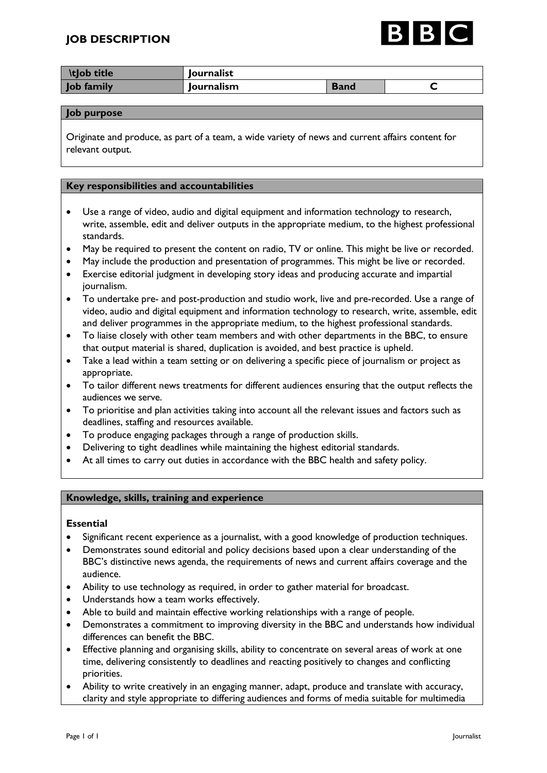

| <b>ItJob title</b> | <b>Journalist</b> |             |  |
|--------------------|-------------------|-------------|--|
| <b>Job family</b>  | <b>Journalism</b> | <b>Band</b> |  |

### **Job purpose**

Originate and produce, as part of a team, a wide variety of news and current affairs content for relevant output.

## **Key responsibilities and accountabilities**

- Use a range of video, audio and digital equipment and information technology to research, write, assemble, edit and deliver outputs in the appropriate medium, to the highest professional standards.
- May be required to present the content on radio, TV or online. This might be live or recorded.
- May include the production and presentation of programmes. This might be live or recorded.
- Exercise editorial judgment in developing story ideas and producing accurate and impartial journalism.
- To undertake pre- and post-production and studio work, live and pre-recorded. Use a range of video, audio and digital equipment and information technology to research, write, assemble, edit and deliver programmes in the appropriate medium, to the highest professional standards.
- To liaise closely with other team members and with other departments in the BBC, to ensure that output material is shared, duplication is avoided, and best practice is upheld.
- Take a lead within a team setting or on delivering a specific piece of journalism or project as appropriate.
- To tailor different news treatments for different audiences ensuring that the output reflects the audiences we serve.
- To prioritise and plan activities taking into account all the relevant issues and factors such as deadlines, staffing and resources available.
- To produce engaging packages through a range of production skills.
- Delivering to tight deadlines while maintaining the highest editorial standards.
- At all times to carry out duties in accordance with the BBC health and safety policy.

# **Knowledge, skills, training and experience**

### **Essential**

- Significant recent experience as a journalist, with a good knowledge of production techniques.
- Demonstrates sound editorial and policy decisions based upon a clear understanding of the BBC's distinctive news agenda, the requirements of news and current affairs coverage and the audience.
- Ability to use technology as required, in order to gather material for broadcast.
- Understands how a team works effectively.
- Able to build and maintain effective working relationships with a range of people.
- Demonstrates a commitment to improving diversity in the BBC and understands how individual differences can benefit the BBC.
- Effective planning and organising skills, ability to concentrate on several areas of work at one time, delivering consistently to deadlines and reacting positively to changes and conflicting priorities.
- Ability to write creatively in an engaging manner, adapt, produce and translate with accuracy, clarity and style appropriate to differing audiences and forms of media suitable for multimedia